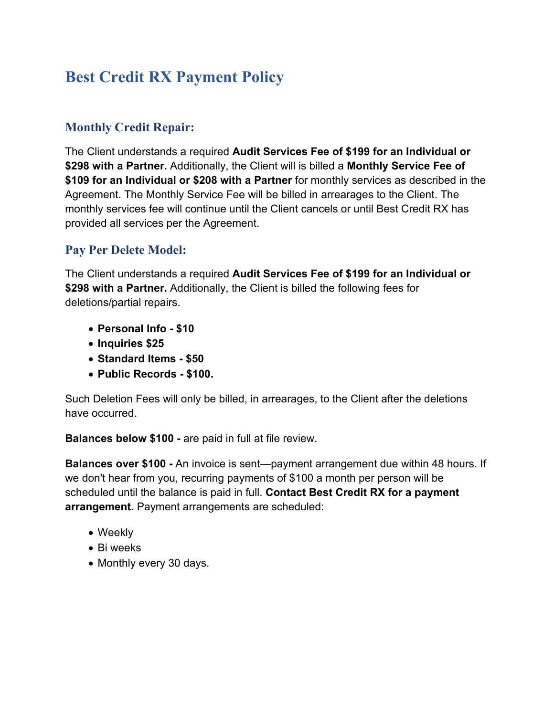# **Best Credit RX Payment Policy**

#### **Monthly Credit Repair:**

The Client understands a required **Audit Services Fee of \$199 for an Individual or \$298 with a Partner.** Additionally, the Client will is billed a **Monthly Service Fee of \$109 for an Individual or \$208 with a Partner** for monthly services as described in the Agreement. The Monthly Service Fee will be billed in arrearages to the Client. The monthly services fee will continue until the Client cancels or until Best Credit RX has provided all services per the Agreement.

#### **Pay Per Delete Model:**

The Client understands a required **Audit Services Fee of \$199 for an Individual or \$298 with a Partner.** Additionally, the Client is billed the following fees for deletions/partial repairs.

- **Personal Info - \$10**
- **Inquiries \$25**
- **Standard Items - \$50**
- **Public Records - \$100.**

Such Deletion Fees will only be billed, in arrearages, to the Client after the deletions have occurred.

**Balances below \$100 -** are paid in full at file review.

**Balances over \$100 -** An invoice is sent—payment arrangement due within 48 hours. If we don't hear from you, recurring payments of \$100 a month per person will be scheduled until the balance is paid in full. **Contact Best Credit RX for a payment arrangement.** Payment arrangements are scheduled:

- Weekly
- Bi weeks
- Monthly every 30 days.